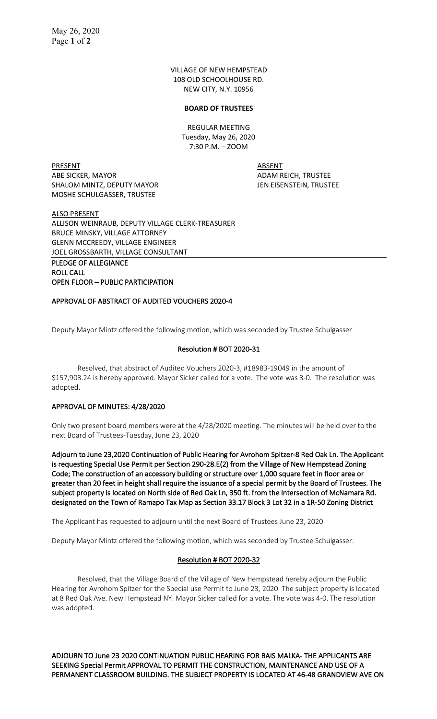VILLAGE OF NEW HEMPSTEAD 108 OLD SCHOOLHOUSE RD. NEW CITY, N.Y. 10956

#### **BOARD OF TRUSTEES**

REGULAR MEETING Tuesday, May 26, 2020 7:30 P.M. – ZOOM

PRESENT ABSENT ABE SICKER, MAYOR ADAM REICH, TRUSTEE SHALOM MINTZ, DEPUTY MAYOR JEN EISENSTEIN, TRUSTEE MOSHE SCHULGASSER, TRUSTEE

ALSO PRESENT ALLISON WEINRAUB, DEPUTY VILLAGE CLERK-TREASURER BRUCE MINSKY, VILLAGE ATTORNEY GLENN MCCREEDY, VILLAGE ENGINEER JOEL GROSSBARTH, VILLAGE CONSULTANT

PLEDGE OF ALLEGIANCE ROLL CALL OPEN FLOOR – PUBLIC PARTICIPATION

## APPROVAL OF ABSTRACT OF AUDITED VOUCHERS 2020-4

Deputy Mayor Mintz offered the following motion, which was seconded by Trustee Schulgasser

#### Resolution # BOT 2020-31

Resolved, that abstract of Audited Vouchers 2020-3, #18983-19049 in the amount of \$157,903.24 is hereby approved. Mayor Sicker called for a vote. The vote was 3-0. The resolution was adopted.

#### APPROVAL OF MINUTES: 4/28/2020

Only two present board members were at the 4/28/2020 meeting. The minutes will be held over to the next Board of Trustees-Tuesday, June 23, 2020

Adjourn to June 23,2020 Continuation of Public Hearing for Avrohom Spitzer-8 Red Oak Ln. The Applicant is requesting Special Use Permit per Section 290-28.E(2) from the Village of New Hempstead Zoning Code; The construction of an accessory building or structure over 1,000 square feet in floor area or greater than 20 feet in height shall require the issuance of a special permit by the Board of Trustees. The subject property is located on North side of Red Oak Ln, 350 ft. from the intersection of McNamara Rd. designated on the Town of Ramapo Tax Map as Section 33.17 Block 3 Lot 32 in a 1R-50 Zoning District

The Applicant has requested to adjourn until the next Board of Trustees June 23, 2020

Deputy Mayor Mintz offered the following motion, which was seconded by Trustee Schulgasser:

## Resolution # BOT 2020-32

Resolved, that the Village Board of the Village of New Hempstead hereby adjourn the Public Hearing for Avrohom Spitzer for the Special use Permit to June 23, 2020. The subject property is located at 8 Red Oak Ave. New Hempstead NY. Mayor Sicker called for a vote. The vote was 4-0. The resolution was adopted.

ADJOURN TO June 23 2020 CONTINUATION PUBLIC HEARING FOR BAIS MALKA- THE APPLICANTS ARE SEEKING Special Permit APPROVAL TO PERMIT THE CONSTRUCTION, MAINTENANCE AND USE OF A PERMANENT CLASSROOM BUILDING. THE SUBJECT PROPERTY IS LOCATED AT 46-48 GRANDVIEW AVE ON